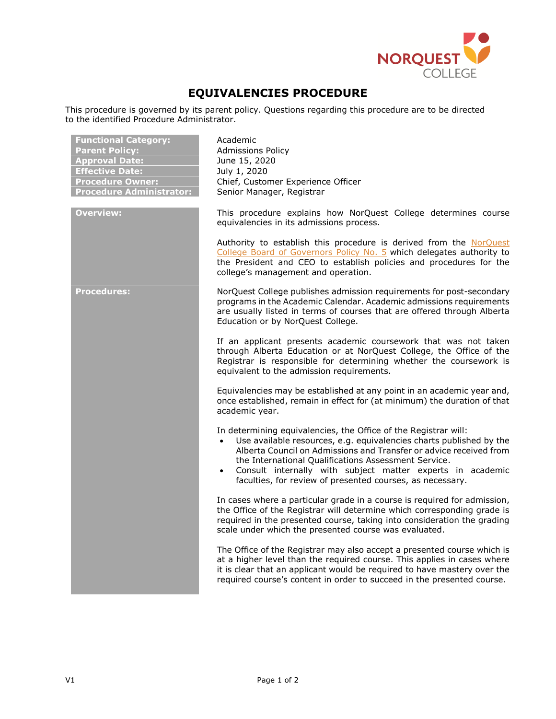

## **EQUIVALENCIES PROCEDURE**

This procedure is governed by its parent policy. Questions regarding this procedure are to be directed to the identified Procedure Administrator.

| <b>Functional Category:</b><br><b>Parent Policy:</b><br><b>Approval Date:</b><br><b>Effective Date:</b><br><b>Procedure Owner:</b><br><b>Procedure Administrator:</b> | Academic<br><b>Admissions Policy</b><br>June 15, 2020<br>July 1, 2020<br>Chief, Customer Experience Officer<br>Senior Manager, Registrar                                                                                                                                                                                                                                                                     |
|-----------------------------------------------------------------------------------------------------------------------------------------------------------------------|--------------------------------------------------------------------------------------------------------------------------------------------------------------------------------------------------------------------------------------------------------------------------------------------------------------------------------------------------------------------------------------------------------------|
| <b>Overview:</b>                                                                                                                                                      | This procedure explains how NorQuest College determines course<br>equivalencies in its admissions process.                                                                                                                                                                                                                                                                                                   |
|                                                                                                                                                                       | Authority to establish this procedure is derived from the NorQuest<br>College Board of Governors Policy No. 5 which delegates authority to<br>the President and CEO to establish policies and procedures for the<br>college's management and operation.                                                                                                                                                      |
| <b>Procedures:</b>                                                                                                                                                    | NorQuest College publishes admission requirements for post-secondary<br>programs in the Academic Calendar. Academic admissions requirements<br>are usually listed in terms of courses that are offered through Alberta<br>Education or by NorQuest College.                                                                                                                                                  |
|                                                                                                                                                                       | If an applicant presents academic coursework that was not taken<br>through Alberta Education or at NorQuest College, the Office of the<br>Registrar is responsible for determining whether the coursework is<br>equivalent to the admission requirements.                                                                                                                                                    |
|                                                                                                                                                                       | Equivalencies may be established at any point in an academic year and,<br>once established, remain in effect for (at minimum) the duration of that<br>academic year.                                                                                                                                                                                                                                         |
|                                                                                                                                                                       | In determining equivalencies, the Office of the Registrar will:<br>Use available resources, e.g. equivalencies charts published by the<br>$\bullet$<br>Alberta Council on Admissions and Transfer or advice received from<br>the International Qualifications Assessment Service.<br>Consult internally with subject matter experts in academic<br>faculties, for review of presented courses, as necessary. |
|                                                                                                                                                                       | In cases where a particular grade in a course is required for admission,<br>the Office of the Registrar will determine which corresponding grade is<br>required in the presented course, taking into consideration the grading<br>scale under which the presented course was evaluated.                                                                                                                      |
|                                                                                                                                                                       | The Office of the Registrar may also accept a presented course which is<br>at a higher level than the required course. This applies in cases where<br>it is clear that an applicant would be required to have mastery over the<br>required course's content in order to succeed in the presented course.                                                                                                     |